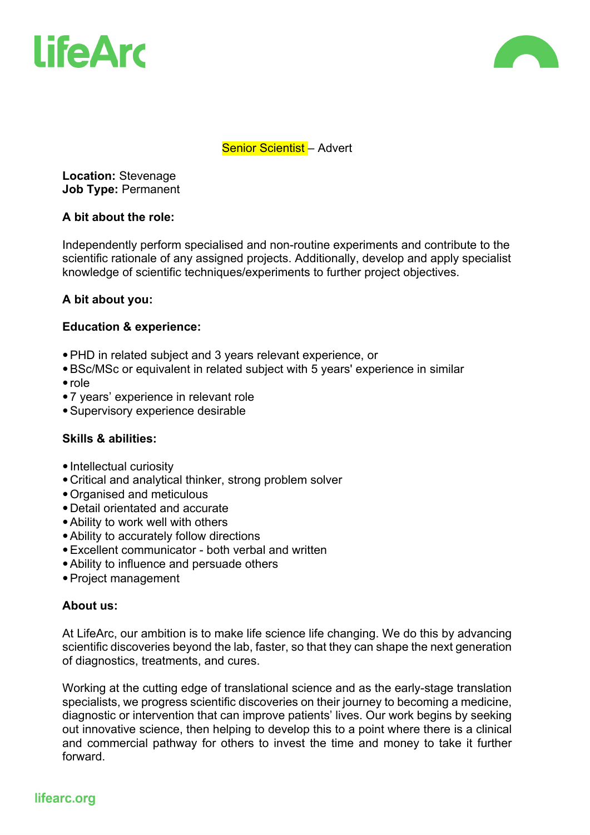



## Senior Scientist - Advert

**Location:** Stevenage **Job Type:** Permanent

#### **A bit about the role:**

Independently perform specialised and non-routine experiments and contribute to the scientific rationale of any assigned projects. Additionally, develop and apply specialist knowledge of scientific techniques/experiments to further project objectives.

# **A bit about you:**

## **Education & experience:**

- •PHD in related subject and 3 years relevant experience, or
- •BSc/MSc or equivalent in related subject with 5 years' experience in similar
- role
- •7 years' experience in relevant role
- •Supervisory experience desirable

# **Skills & abilities:**

- Intellectual curiosity
- •Critical and analytical thinker, strong problem solver
- •Organised and meticulous
- •Detail orientated and accurate
- •Ability to work well with others
- •Ability to accurately follow directions
- •Excellent communicator both verbal and written
- •Ability to influence and persuade others
- •Project management

#### **About us:**

At LifeArc, our ambition is to make life science life changing. We do this by advancing scientific discoveries beyond the lab, faster, so that they can shape the next generation of diagnostics, treatments, and cures.

Working at the cutting edge of translational science and as the early-stage translation specialists, we progress scientific discoveries on their journey to becoming a medicine, diagnostic or intervention that can improve patients' lives. Our work begins by seeking out innovative science, then helping to develop this to a point where there is a clinical and commercial pathway for others to invest the time and money to take it further forward.

# lifearc.org